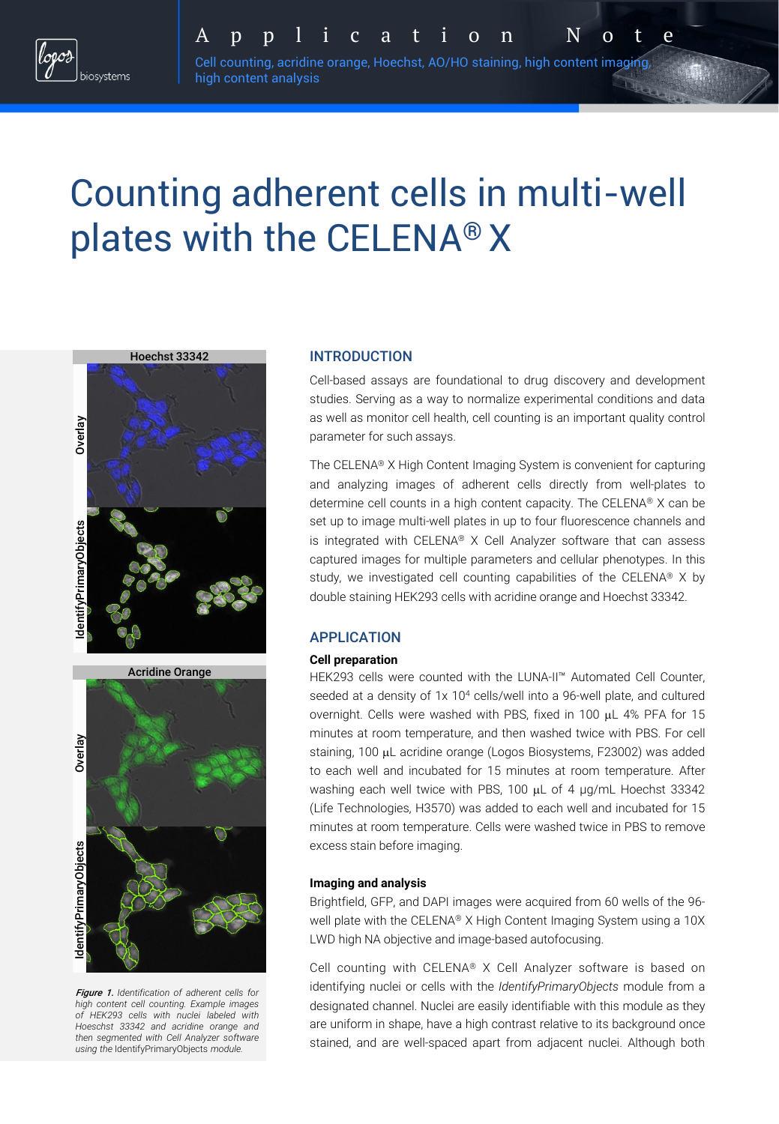

Cell counting, acridine orange, Hoechst, AO/HO staining, high content imaging, A p p l i c a t i o n N o t e

# Counting adherent cells in multi-well plates with the CELENA® X

high content analysis





Figure 1. *Identification of adherent cells for high content cell counting. Example images of HEK293 cells with nuclei labeled with Hoeschst 33342 and acridine orange and then segmented with Cell Analyzer software using the* IdentifyPrimaryObjects *module.*

## INTRODUCTION

Cell-based assays are foundational to drug discovery and development studies. Serving as a way to normalize experimental conditions and data as well as monitor cell health, cell counting is an important quality control parameter for such assays.

The CELENA® X High Content Imaging System is convenient for capturing and analyzing images of adherent cells directly from well-plates to determine cell counts in a high content capacity. The CELENA® X can be set up to image multi-well plates in up to four fluorescence channels and is integrated with CELENA® X Cell Analyzer software that can assess captured images for multiple parameters and cellular phenotypes. In this study, we investigated cell counting capabilities of the CELENA® X by double staining HEK293 cells with acridine orange and Hoechst 33342.

## APPLICATION

### **Cell preparation**

HEK293 cells were counted with the LUNA-II™ Automated Cell Counter, seeded at a density of 1x 10<sup>4</sup> cells/well into a 96-well plate, and cultured overnight. Cells were washed with PBS, fixed in 100  $\mu$ L 4% PFA for 15 minutes at room temperature, and then washed twice with PBS. For cell staining, 100 µL acridine orange (Logos Biosystems, F23002) was added to each well and incubated for 15 minutes at room temperature. After washing each well twice with PBS, 100  $\mu$ L of 4  $\mu$ g/mL Hoechst 33342 (Life Technologies, H3570) was added to each well and incubated for 15 minutes at room temperature. Cells were washed twice in PBS to remove excess stain before imaging.

#### **Imaging and analysis**

Brightfield, GFP, and DAPI images were acquired from 60 wells of the 96 well plate with the CELENA® X High Content Imaging System using a 10X LWD high NA objective and image-based autofocusing.

Cell counting with CELENA® X Cell Analyzer software is based on identifying nuclei or cells with the *IdentifyPrimaryObjects* module from a designated channel. Nuclei are easily identifiable with this module as they are uniform in shape, have a high contrast relative to its background once stained, and are well-spaced apart from adjacent nuclei. Although both